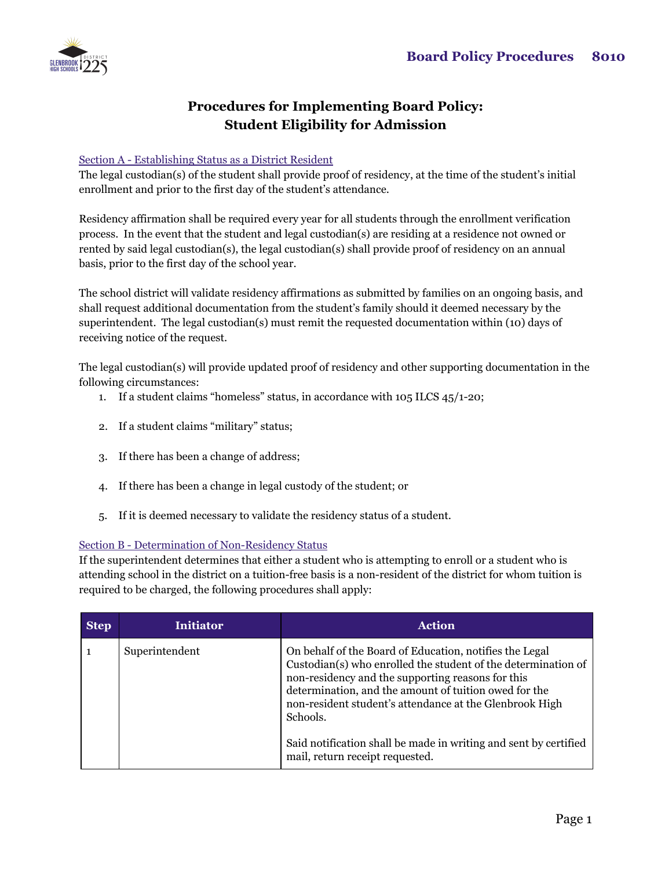

## **Procedures for Implementing Board Policy: Student Eligibility for Admission**

## Section A - Establishing Status as a District Resident

The legal custodian(s) of the student shall provide proof of residency, at the time of the student's initial enrollment and prior to the first day of the student's attendance.

Residency affirmation shall be required every year for all students through the enrollment verification process. In the event that the student and legal custodian(s) are residing at a residence not owned or rented by said legal custodian(s), the legal custodian(s) shall provide proof of residency on an annual basis, prior to the first day of the school year.

The school district will validate residency affirmations as submitted by families on an ongoing basis, and shall request additional documentation from the student's family should it deemed necessary by the superintendent. The legal custodian(s) must remit the requested documentation within (10) days of receiving notice of the request.

The legal custodian(s) will provide updated proof of residency and other supporting documentation in the following circumstances:

- 1. If a student claims "homeless" status, in accordance with 105 ILCS 45/1-20;
- 2. If a student claims "military" status;
- 3. If there has been a change of address;
- 4. If there has been a change in legal custody of the student; or
- 5. If it is deemed necessary to validate the residency status of a student.

## Section B - Determination of Non-Residency Status

If the superintendent determines that either a student who is attempting to enroll or a student who is attending school in the district on a tuition-free basis is a non-resident of the district for whom tuition is required to be charged, the following procedures shall apply:

| <b>Step</b> | <b>Initiator</b> | <b>Action</b>                                                                                                                                                                                                                                                                                                 |
|-------------|------------------|---------------------------------------------------------------------------------------------------------------------------------------------------------------------------------------------------------------------------------------------------------------------------------------------------------------|
|             | Superintendent   | On behalf of the Board of Education, notifies the Legal<br>Custodian(s) who enrolled the student of the determination of<br>non-residency and the supporting reasons for this<br>determination, and the amount of tuition owed for the<br>non-resident student's attendance at the Glenbrook High<br>Schools. |
|             |                  | Said notification shall be made in writing and sent by certified<br>mail, return receipt requested.                                                                                                                                                                                                           |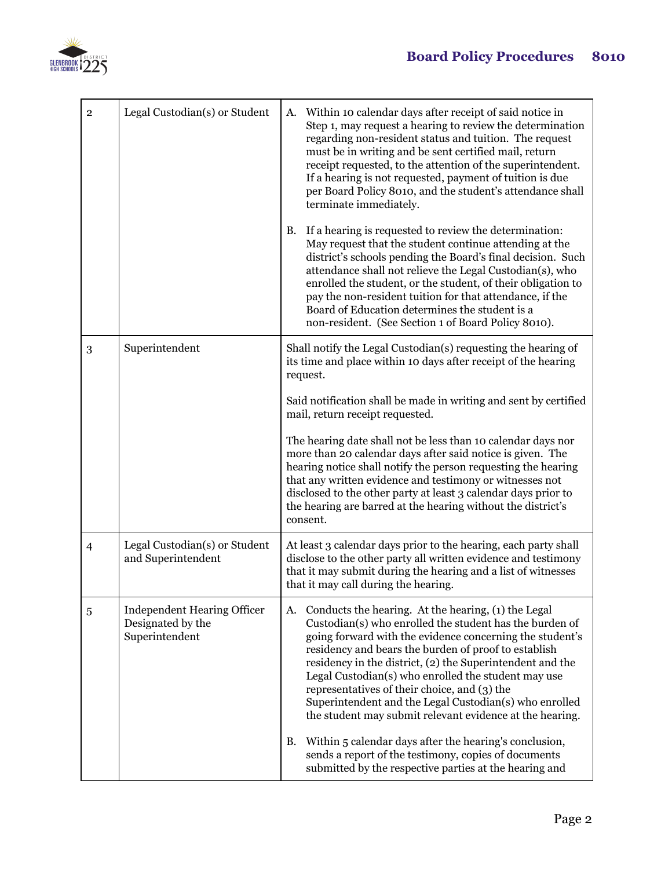

| $\mathbf{2}$   | Legal Custodian(s) or Student                                             | Within 10 calendar days after receipt of said notice in<br>А.<br>Step 1, may request a hearing to review the determination<br>regarding non-resident status and tuition. The request<br>must be in writing and be sent certified mail, return<br>receipt requested, to the attention of the superintendent.<br>If a hearing is not requested, payment of tuition is due<br>per Board Policy 8010, and the student's attendance shall<br>terminate immediately.<br>If a hearing is requested to review the determination:<br>B.<br>May request that the student continue attending at the<br>district's schools pending the Board's final decision. Such<br>attendance shall not relieve the Legal Custodian(s), who<br>enrolled the student, or the student, of their obligation to<br>pay the non-resident tuition for that attendance, if the<br>Board of Education determines the student is a<br>non-resident. (See Section 1 of Board Policy 8010). |
|----------------|---------------------------------------------------------------------------|----------------------------------------------------------------------------------------------------------------------------------------------------------------------------------------------------------------------------------------------------------------------------------------------------------------------------------------------------------------------------------------------------------------------------------------------------------------------------------------------------------------------------------------------------------------------------------------------------------------------------------------------------------------------------------------------------------------------------------------------------------------------------------------------------------------------------------------------------------------------------------------------------------------------------------------------------------|
| 3              | Superintendent                                                            | Shall notify the Legal Custodian(s) requesting the hearing of<br>its time and place within 10 days after receipt of the hearing<br>request.<br>Said notification shall be made in writing and sent by certified<br>mail, return receipt requested.<br>The hearing date shall not be less than 10 calendar days nor<br>more than 20 calendar days after said notice is given. The<br>hearing notice shall notify the person requesting the hearing<br>that any written evidence and testimony or witnesses not<br>disclosed to the other party at least 3 calendar days prior to<br>the hearing are barred at the hearing without the district's<br>consent.                                                                                                                                                                                                                                                                                              |
| $\overline{4}$ | Legal Custodian(s) or Student<br>and Superintendent                       | At least 3 calendar days prior to the hearing, each party shall<br>disclose to the other party all written evidence and testimony<br>that it may submit during the hearing and a list of witnesses<br>that it may call during the hearing.                                                                                                                                                                                                                                                                                                                                                                                                                                                                                                                                                                                                                                                                                                               |
| 5              | <b>Independent Hearing Officer</b><br>Designated by the<br>Superintendent | Conducts the hearing. At the hearing, (1) the Legal<br>A.<br>Custodian(s) who enrolled the student has the burden of<br>going forward with the evidence concerning the student's<br>residency and bears the burden of proof to establish<br>residency in the district, (2) the Superintendent and the<br>Legal Custodian(s) who enrolled the student may use<br>representatives of their choice, and (3) the<br>Superintendent and the Legal Custodian(s) who enrolled<br>the student may submit relevant evidence at the hearing.<br>Within 5 calendar days after the hearing's conclusion,<br>В.<br>sends a report of the testimony, copies of documents<br>submitted by the respective parties at the hearing and                                                                                                                                                                                                                                     |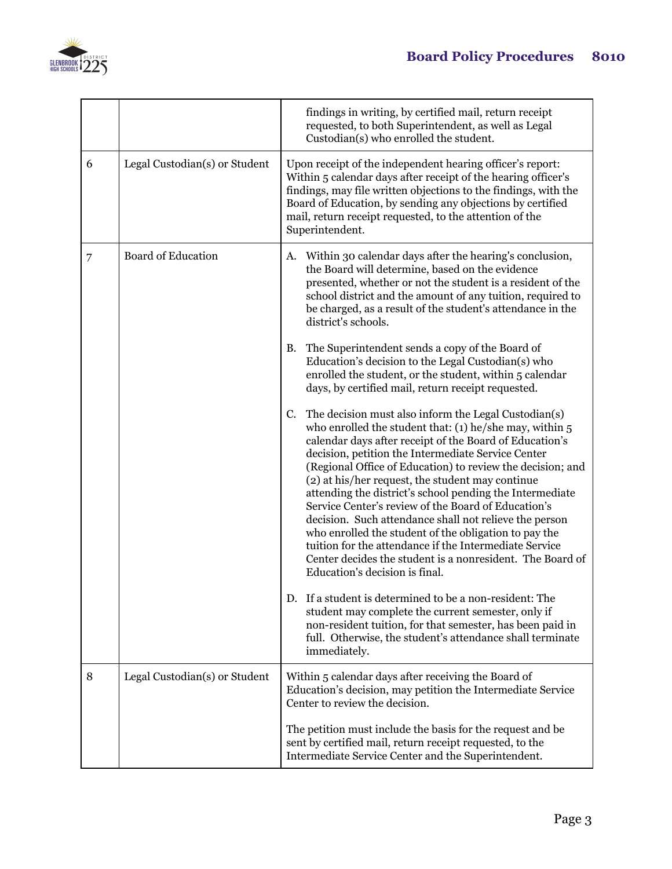

|   |                               | findings in writing, by certified mail, return receipt<br>requested, to both Superintendent, as well as Legal<br>Custodian(s) who enrolled the student.                                                                                                                                                                                                                                                                                                                                                                                                                                                                                                                                                                                                   |
|---|-------------------------------|-----------------------------------------------------------------------------------------------------------------------------------------------------------------------------------------------------------------------------------------------------------------------------------------------------------------------------------------------------------------------------------------------------------------------------------------------------------------------------------------------------------------------------------------------------------------------------------------------------------------------------------------------------------------------------------------------------------------------------------------------------------|
| 6 | Legal Custodian(s) or Student | Upon receipt of the independent hearing officer's report:<br>Within 5 calendar days after receipt of the hearing officer's<br>findings, may file written objections to the findings, with the<br>Board of Education, by sending any objections by certified<br>mail, return receipt requested, to the attention of the<br>Superintendent.                                                                                                                                                                                                                                                                                                                                                                                                                 |
| 7 | <b>Board of Education</b>     | A. Within 30 calendar days after the hearing's conclusion,<br>the Board will determine, based on the evidence<br>presented, whether or not the student is a resident of the<br>school district and the amount of any tuition, required to<br>be charged, as a result of the student's attendance in the<br>district's schools.                                                                                                                                                                                                                                                                                                                                                                                                                            |
|   |                               | The Superintendent sends a copy of the Board of<br>В.<br>Education's decision to the Legal Custodian(s) who<br>enrolled the student, or the student, within 5 calendar<br>days, by certified mail, return receipt requested.                                                                                                                                                                                                                                                                                                                                                                                                                                                                                                                              |
|   |                               | The decision must also inform the Legal Custodian(s)<br>C.<br>who enrolled the student that: (1) he/she may, within $5$<br>calendar days after receipt of the Board of Education's<br>decision, petition the Intermediate Service Center<br>(Regional Office of Education) to review the decision; and<br>(2) at his/her request, the student may continue<br>attending the district's school pending the Intermediate<br>Service Center's review of the Board of Education's<br>decision. Such attendance shall not relieve the person<br>who enrolled the student of the obligation to pay the<br>tuition for the attendance if the Intermediate Service<br>Center decides the student is a nonresident. The Board of<br>Education's decision is final. |
|   |                               | D. If a student is determined to be a non-resident: The<br>student may complete the current semester, only if<br>non-resident tuition, for that semester, has been paid in<br>full. Otherwise, the student's attendance shall terminate<br>immediately.                                                                                                                                                                                                                                                                                                                                                                                                                                                                                                   |
| 8 | Legal Custodian(s) or Student | Within 5 calendar days after receiving the Board of<br>Education's decision, may petition the Intermediate Service<br>Center to review the decision.                                                                                                                                                                                                                                                                                                                                                                                                                                                                                                                                                                                                      |
|   |                               | The petition must include the basis for the request and be.<br>sent by certified mail, return receipt requested, to the<br>Intermediate Service Center and the Superintendent.                                                                                                                                                                                                                                                                                                                                                                                                                                                                                                                                                                            |